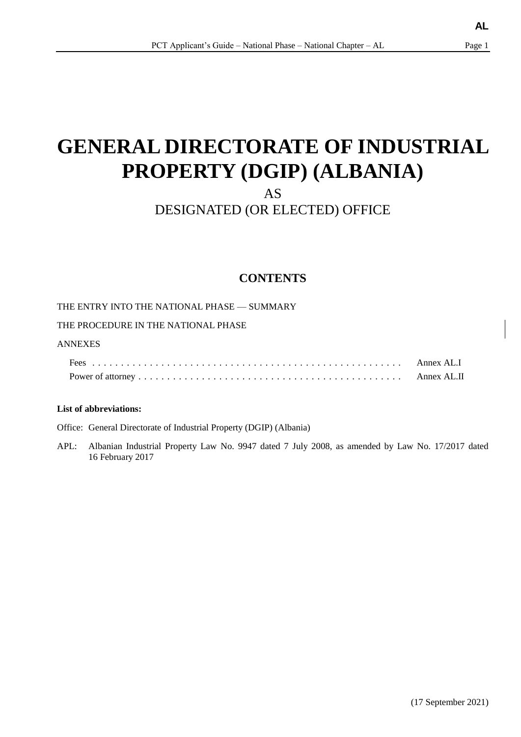# **GENERAL DIRECTORATE OF INDUSTRIAL PROPERTY (DGIP) (ALBANIA)**

AS

## DESIGNATED (OR ELECTED) OFFICE

### **CONTENTS**

THE ENTRY INTO THE NATIONAL PHASE — SUMMARY

THE PROCEDURE IN THE NATIONAL PHASE

### ANNEXES

| Annex AL.I |
|------------|
|            |

### **List of abbreviations:**

Office: General Directorate of Industrial Property (DGIP) (Albania)

APL: Albanian Industrial Property Law No. 9947 dated 7 July 2008, as amended by Law No. 17/2017 dated 16 February 2017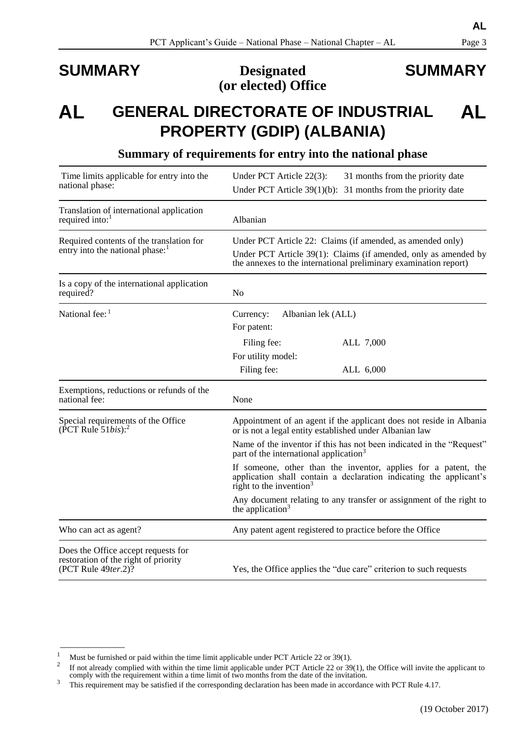### **SUMMARY Designated (or elected) Office**

<span id="page-1-2"></span><span id="page-1-1"></span>(19 October 2017)

### **AL GENERAL DIRECTORATE OF INDUSTRIAL PROPERTY (GDIP) (ALBANIA) AL**

<span id="page-1-0"></span>

| Time limits applicable for entry into the<br>national phase:                                                   | Under PCT Article 22(3):<br>31 months from the priority date<br>Under PCT Article $39(1)(b)$ : 31 months from the priority date                                                                   |  |
|----------------------------------------------------------------------------------------------------------------|---------------------------------------------------------------------------------------------------------------------------------------------------------------------------------------------------|--|
| Translation of international application<br>required into: $1$                                                 | Albanian                                                                                                                                                                                          |  |
| Required contents of the translation for<br>entry into the national phase: <sup>1</sup>                        | Under PCT Article 22: Claims (if amended, as amended only)<br>Under PCT Article 39(1): Claims (if amended, only as amended by<br>the annexes to the international preliminary examination report) |  |
| Is a copy of the international application<br>required?                                                        | N <sub>o</sub>                                                                                                                                                                                    |  |
| National fee: $1$                                                                                              | Albanian lek (ALL)<br>Currency:<br>For patent:                                                                                                                                                    |  |
|                                                                                                                | Filing fee:<br>ALL 7,000<br>For utility model:<br>Filing fee:<br>ALL 6,000                                                                                                                        |  |
| Exemptions, reductions or refunds of the<br>national fee:                                                      | None                                                                                                                                                                                              |  |
| Special requirements of the Office<br>(PCT Rule $51bis$ ): <sup>2</sup>                                        | Appointment of an agent if the applicant does not reside in Albania<br>or is not a legal entity established under Albanian law                                                                    |  |
|                                                                                                                | Name of the inventor if this has not been indicated in the "Request"<br>part of the international application <sup>3</sup>                                                                        |  |
|                                                                                                                | If someone, other than the inventor, applies for a patent, the<br>application shall contain a declaration indicating the applicant's<br>right to the invention $3$                                |  |
|                                                                                                                | Any document relating to any transfer or assignment of the right to<br>the application $3$                                                                                                        |  |
| Who can act as agent?                                                                                          | Any patent agent registered to practice before the Office                                                                                                                                         |  |
| Does the Office accept requests for<br>restoration of the right of priority<br>(PCT Rule 49ter.2) <sup>7</sup> | Yes, the Office applies the "due care" criterion to such requests                                                                                                                                 |  |

### **Summary of requirements for entry into the national phase**

 $\overline{\phantom{a}}$  , where  $\overline{\phantom{a}}$ 

# **SUMMARY**

Must be furnished or paid within the time limit applicable under PCT Article 22 or 39(1).

<sup>2</sup> If not already complied with within the time limit applicable under PCT Article 22 or 39(1), the Office will invite the applicant to comply with the requirement within a time limit of two months from the date of the invitation.

<sup>&</sup>lt;sup>3</sup> This requirement may be satisfied if the corresponding declaration has been made in accordance with PCT Rule 4.17.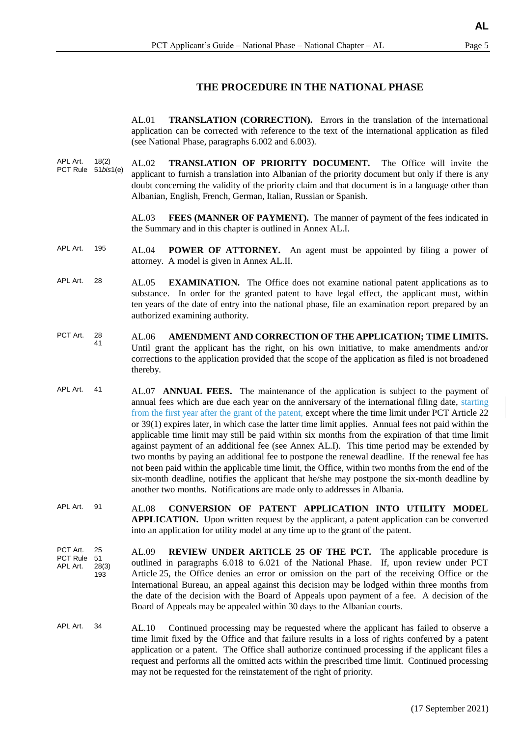#### **THE PROCEDURE IN THE NATIONAL PHASE**

AL.01 **TRANSLATION (CORRECTION).** Errors in the translation of the international application can be corrected with reference to the text of the international application as filed (see National Phase, paragraphs 6.002 and 6.003).

APL Art. 18(2) PCT Rule 51*bis*1(e) AL.02 **TRANSLATION OF PRIORITY DOCUMENT.** The Office will invite the applicant to furnish a translation into Albanian of the priority document but only if there is any doubt concerning the validity of the priority claim and that document is in a language other than Albanian, English, French, German, Italian, Russian or Spanish.

> AL.03 **FEES (MANNER OF PAYMENT).** The manner of payment of the fees indicated in the Summary and in this chapter is outlined in Annex AL.I.

- APL Art. 195 AL.04 **POWER OF ATTORNEY.** An agent must be appointed by filing a power of attorney. A model is given in Annex AL.II.
- APL Art. 28 AL.05 **EXAMINATION.** The Office does not examine national patent applications as to substance. In order for the granted patent to have legal effect, the applicant must, within ten years of the date of entry into the national phase, file an examination report prepared by an authorized examining authority.
- PCT Art. 28 41 AL.06 **AMENDMENT AND CORRECTION OF THE APPLICATION; TIME LIMITS.** Until grant the applicant has the right, on his own initiative, to make amendments and/or corrections to the application provided that the scope of the application as filed is not broadened thereby.
- APL Art. 41 AL.07 **ANNUAL FEES.** The maintenance of the application is subject to the payment of annual fees which are due each year on the anniversary of the international filing date, starting from the first year after the grant of the patent, except where the time limit under PCT Article 22 or 39(1) expires later, in which case the latter time limit applies. Annual fees not paid within the applicable time limit may still be paid within six months from the expiration of that time limit against payment of an additional fee (see Annex AL.I). This time period may be extended by two months by paying an additional fee to postpone the renewal deadline. If the renewal fee has not been paid within the applicable time limit, the Office, within two months from the end of the six-month deadline, notifies the applicant that he/she may postpone the six-month deadline by another two months. Notifications are made only to addresses in Albania.
- APL Art. 91 AL.08 **CONVERSION OF PATENT APPLICATION INTO UTILITY MODEL APPLICATION.** Upon written request by the applicant, a patent application can be converted into an application for utility model at any time up to the grant of the patent.
- PCT Art. 25<br>PCT Rule 51 PCT Rule APL Art. 28(3) 193 AL.09 **REVIEW UNDER ARTICLE 25 OF THE PCT.** The applicable procedure is outlined in paragraphs 6.018 to 6.021 of the National Phase. If, upon review under PCT Article 25, the Office denies an error or omission on the part of the receiving Office or the International Bureau, an appeal against this decision may be lodged within three months from the date of the decision with the Board of Appeals upon payment of a fee. A decision of the Board of Appeals may be appealed within 30 days to the Albanian courts.
- APL Art. 34 AL.10 Continued processing may be requested where the applicant has failed to observe a time limit fixed by the Office and that failure results in a loss of rights conferred by a patent application or a patent. The Office shall authorize continued processing if the applicant files a request and performs all the omitted acts within the prescribed time limit. Continued processing may not be requested for the reinstatement of the right of priority.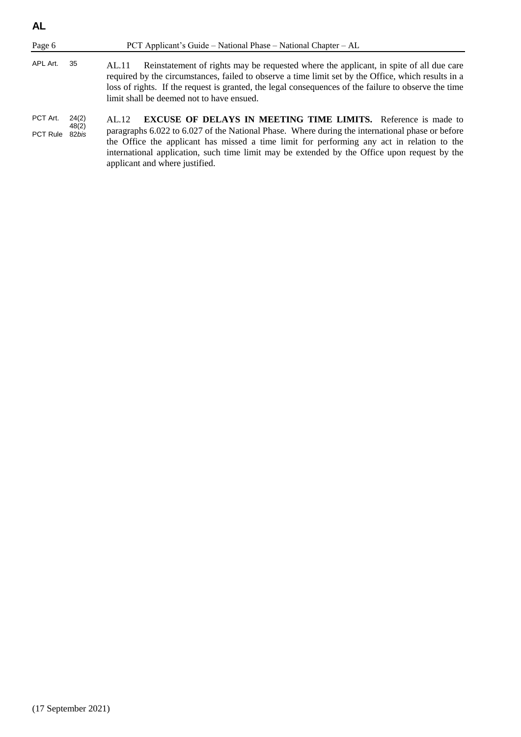| <b>AL</b>                  |                |                                                                                                                                                                                                                                                                                                                                                                                                                  |
|----------------------------|----------------|------------------------------------------------------------------------------------------------------------------------------------------------------------------------------------------------------------------------------------------------------------------------------------------------------------------------------------------------------------------------------------------------------------------|
| Page 6                     |                | PCT Applicant's Guide – National Phase – National Chapter – AL                                                                                                                                                                                                                                                                                                                                                   |
| APL Art.                   | 35             | Reinstatement of rights may be requested where the applicant, in spite of all due care<br>AL.11<br>required by the circumstances, failed to observe a time limit set by the Office, which results in a<br>loss of rights. If the request is granted, the legal consequences of the failure to observe the time<br>limit shall be deemed not to have ensued.                                                      |
| PCT Art.<br>PCT Rule 82bis | 24(2)<br>48(2) | <b>EXCUSE OF DELAYS IN MEETING TIME LIMITS.</b> Reference is made to<br>AI.12<br>paragraphs 6.022 to 6.027 of the National Phase. Where during the international phase or before<br>the Office the applicant has missed a time limit for performing any act in relation to the<br>international application, such time limit may be extended by the Office upon request by the<br>applicant and where justified. |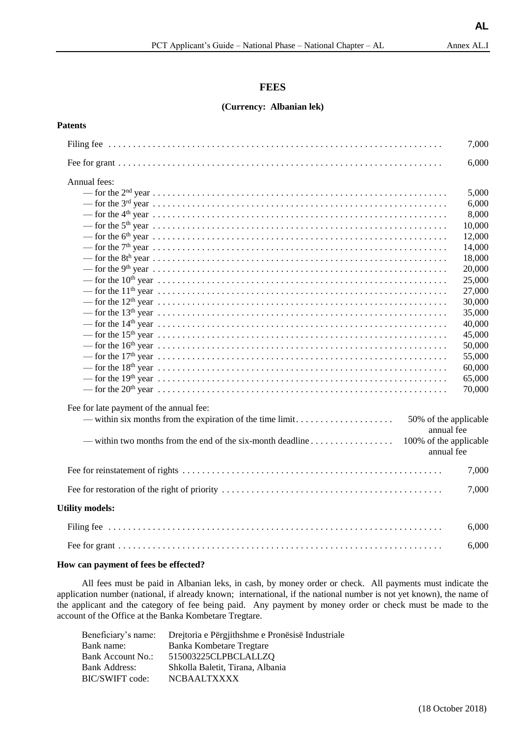### **FEES**

#### **(Currency: Albanian lek)**

#### **Patents**

|                                                                                                                                                      | 7,000  |
|------------------------------------------------------------------------------------------------------------------------------------------------------|--------|
|                                                                                                                                                      | 6,000  |
| Annual fees:                                                                                                                                         |        |
|                                                                                                                                                      | 5,000  |
|                                                                                                                                                      | 6,000  |
|                                                                                                                                                      | 8,000  |
|                                                                                                                                                      | 10,000 |
|                                                                                                                                                      | 12,000 |
|                                                                                                                                                      | 14,000 |
|                                                                                                                                                      | 18,000 |
|                                                                                                                                                      | 20,000 |
|                                                                                                                                                      | 25,000 |
| — for the $11^{\text{th}}$ year $\ldots$ $\ldots$ $\ldots$ $\ldots$ $\ldots$ $\ldots$ $\ldots$ $\ldots$ $\ldots$ $\ldots$ $\ldots$ $\ldots$ $\ldots$ | 27,000 |
|                                                                                                                                                      | 30,000 |
|                                                                                                                                                      | 35,000 |
|                                                                                                                                                      | 40,000 |
|                                                                                                                                                      | 45,000 |
|                                                                                                                                                      | 50,000 |
|                                                                                                                                                      | 55,000 |
|                                                                                                                                                      | 60,000 |
|                                                                                                                                                      | 65,000 |
| — for the $20^{\text{th}}$ year $\ldots$ $\ldots$ $\ldots$ $\ldots$ $\ldots$ $\ldots$ $\ldots$ $\ldots$ $\ldots$ $\ldots$ $\ldots$ $\ldots$ $\ldots$ | 70,000 |
| Fee for late payment of the annual fee:                                                                                                              |        |
| 50% of the applicable<br>annual fee                                                                                                                  |        |
| — within two months from the end of the six-month deadline<br>100% of the applicable<br>annual fee                                                   |        |
|                                                                                                                                                      | 7,000  |
|                                                                                                                                                      | 7,000  |
| <b>Utility models:</b>                                                                                                                               |        |
|                                                                                                                                                      | 6,000  |
|                                                                                                                                                      | 6,000  |

#### **How can payment of fees be effected?**

All fees must be paid in Albanian leks, in cash, by money order or check. All payments must indicate the application number (national, if already known; international, if the national number is not yet known), the name of the applicant and the category of fee being paid. Any payment by money order or check must be made to the account of the Office at the Banka Kombetare Tregtare.

|                      | Beneficiary's name: Drejtoria e Përgjithshme e Pronësisë Industriale |
|----------------------|----------------------------------------------------------------------|
| Bank name:           | Banka Kombetare Tregtare                                             |
| Bank Account No.:    | 515003225CLPBCLALLZQ                                                 |
| <b>Bank Address:</b> | Shkolla Baletit, Tirana, Albania                                     |
| BIC/SWIFT code:      | NCBAALTXXXX                                                          |